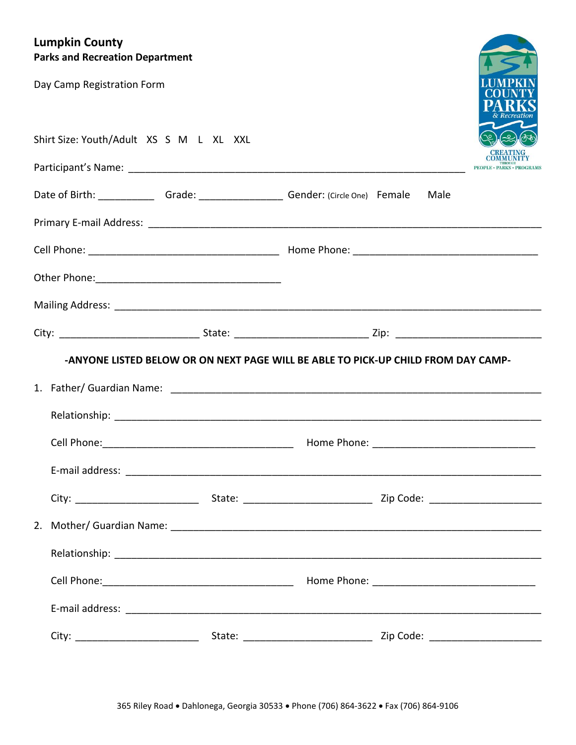# **Lumpkin County Park**

| <b>~~~</b><br><b>Parks and Recreation Department</b>                                   |                                                                                   |      |                                |
|----------------------------------------------------------------------------------------|-----------------------------------------------------------------------------------|------|--------------------------------|
| Day Camp Registration Form                                                             |                                                                                   |      |                                |
| Shirt Size: Youth/Adult XS S M L XL XXL                                                |                                                                                   |      |                                |
|                                                                                        |                                                                                   |      |                                |
| Date of Birth: ________________Grade: _____________________Gender: (Circle One) Female |                                                                                   | Male |                                |
|                                                                                        |                                                                                   |      |                                |
|                                                                                        |                                                                                   |      |                                |
|                                                                                        |                                                                                   |      |                                |
|                                                                                        |                                                                                   |      |                                |
|                                                                                        |                                                                                   |      |                                |
|                                                                                        | -ANYONE LISTED BELOW OR ON NEXT PAGE WILL BE ABLE TO PICK-UP CHILD FROM DAY CAMP- |      |                                |
|                                                                                        |                                                                                   |      |                                |
|                                                                                        |                                                                                   |      |                                |
|                                                                                        |                                                                                   |      |                                |
|                                                                                        |                                                                                   |      |                                |
|                                                                                        |                                                                                   |      |                                |
|                                                                                        |                                                                                   |      |                                |
|                                                                                        |                                                                                   |      |                                |
|                                                                                        |                                                                                   |      |                                |
|                                                                                        |                                                                                   |      |                                |
| City:                                                                                  | State: <u>_______________________</u>                                             |      | <b>Zip Code: Communication</b> |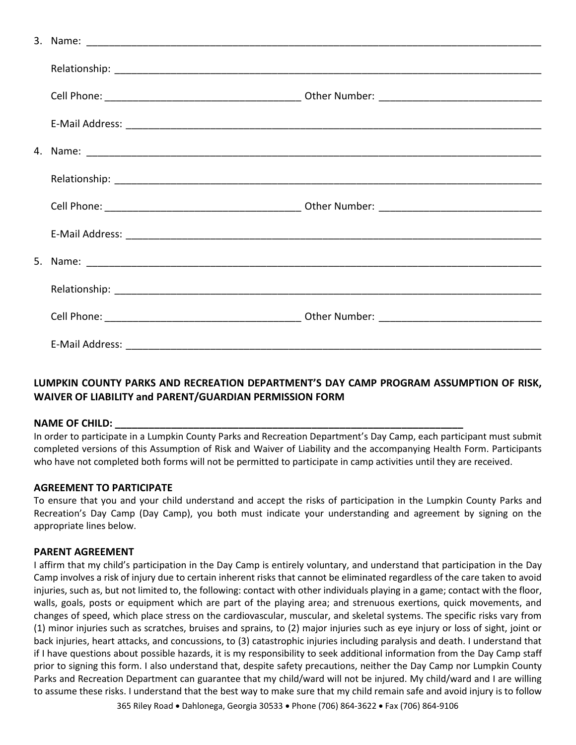## **LUMPKIN COUNTY PARKS AND RECREATION DEPARTMENT'S DAY CAMP PROGRAM ASSUMPTION OF RISK, WAIVER OF LIABILITY and PARENT/GUARDIAN PERMISSION FORM**

### NAME OF CHILD:

In order to participate in a Lumpkin County Parks and Recreation Department's Day Camp, each participant must submit completed versions of this Assumption of Risk and Waiver of Liability and the accompanying Health Form. Participants who have not completed both forms will not be permitted to participate in camp activities until they are received.

### **AGREEMENT TO PARTICIPATE**

To ensure that you and your child understand and accept the risks of participation in the Lumpkin County Parks and Recreation's Day Camp (Day Camp), you both must indicate your understanding and agreement by signing on the appropriate lines below.

#### **PARENT AGREEMENT**

I affirm that my child's participation in the Day Camp is entirely voluntary, and understand that participation in the Day Camp involves a risk of injury due to certain inherent risks that cannot be eliminated regardless of the care taken to avoid injuries, such as, but not limited to, the following: contact with other individuals playing in a game; contact with the floor, walls, goals, posts or equipment which are part of the playing area; and strenuous exertions, quick movements, and changes of speed, which place stress on the cardiovascular, muscular, and skeletal systems. The specific risks vary from (1) minor injuries such as scratches, bruises and sprains, to (2) major injuries such as eye injury or loss of sight, joint or back injuries, heart attacks, and concussions, to (3) catastrophic injuries including paralysis and death. I understand that if I have questions about possible hazards, it is my responsibility to seek additional information from the Day Camp staff prior to signing this form. I also understand that, despite safety precautions, neither the Day Camp nor Lumpkin County Parks and Recreation Department can guarantee that my child/ward will not be injured. My child/ward and I are willing to assume these risks. I understand that the best way to make sure that my child remain safe and avoid injury is to follow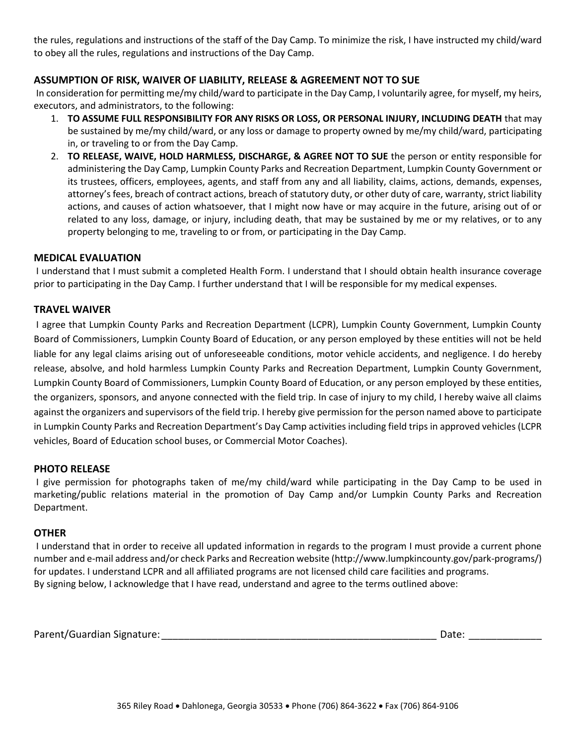the rules, regulations and instructions of the staff of the Day Camp. To minimize the risk, I have instructed my child/ward to obey all the rules, regulations and instructions of the Day Camp.

## **ASSUMPTION OF RISK, WAIVER OF LIABILITY, RELEASE & AGREEMENT NOT TO SUE**

In consideration for permitting me/my child/ward to participate in the Day Camp, I voluntarily agree, for myself, my heirs, executors, and administrators, to the following:

- 1. **TO ASSUME FULL RESPONSIBILITY FOR ANY RISKS OR LOSS, OR PERSONAL INJURY, INCLUDING DEATH** that may be sustained by me/my child/ward, or any loss or damage to property owned by me/my child/ward, participating in, or traveling to or from the Day Camp.
- 2. **TO RELEASE, WAIVE, HOLD HARMLESS, DISCHARGE, & AGREE NOT TO SUE** the person or entity responsible for administering the Day Camp, Lumpkin County Parks and Recreation Department, Lumpkin County Government or its trustees, officers, employees, agents, and staff from any and all liability, claims, actions, demands, expenses, attorney's fees, breach of contract actions, breach of statutory duty, or other duty of care, warranty, strict liability actions, and causes of action whatsoever, that I might now have or may acquire in the future, arising out of or related to any loss, damage, or injury, including death, that may be sustained by me or my relatives, or to any property belonging to me, traveling to or from, or participating in the Day Camp.

## **MEDICAL EVALUATION**

I understand that I must submit a completed Health Form. I understand that I should obtain health insurance coverage prior to participating in the Day Camp. I further understand that I will be responsible for my medical expenses.

## **TRAVEL WAIVER**

I agree that Lumpkin County Parks and Recreation Department (LCPR), Lumpkin County Government, Lumpkin County Board of Commissioners, Lumpkin County Board of Education, or any person employed by these entities will not be held liable for any legal claims arising out of unforeseeable conditions, motor vehicle accidents, and negligence. I do hereby release, absolve, and hold harmless Lumpkin County Parks and Recreation Department, Lumpkin County Government, Lumpkin County Board of Commissioners, Lumpkin County Board of Education, or any person employed by these entities, the organizers, sponsors, and anyone connected with the field trip. In case of injury to my child, I hereby waive all claims against the organizers and supervisors of the field trip. I hereby give permission for the person named above to participate in Lumpkin County Parks and Recreation Department's Day Camp activities including field trips in approved vehicles (LCPR vehicles, Board of Education school buses, or Commercial Motor Coaches).

### **PHOTO RELEASE**

I give permission for photographs taken of me/my child/ward while participating in the Day Camp to be used in marketing/public relations material in the promotion of Day Camp and/or Lumpkin County Parks and Recreation Department.

### **OTHER**

I understand that in order to receive all updated information in regards to the program I must provide a current phone number and e-mail address and/or check Parks and Recreation website (http://www.lumpkincounty.gov/park-programs/) for updates. I understand LCPR and all affiliated programs are not licensed child care facilities and programs. By signing below, I acknowledge that I have read, understand and agree to the terms outlined above:

Parent/Guardian Signature:\_\_\_\_\_\_\_\_\_\_\_\_\_\_\_\_\_\_\_\_\_\_\_\_\_\_\_\_\_\_\_\_\_\_\_\_\_\_\_\_\_\_\_\_\_\_\_\_\_ Date: \_\_\_\_\_\_\_\_\_\_\_\_\_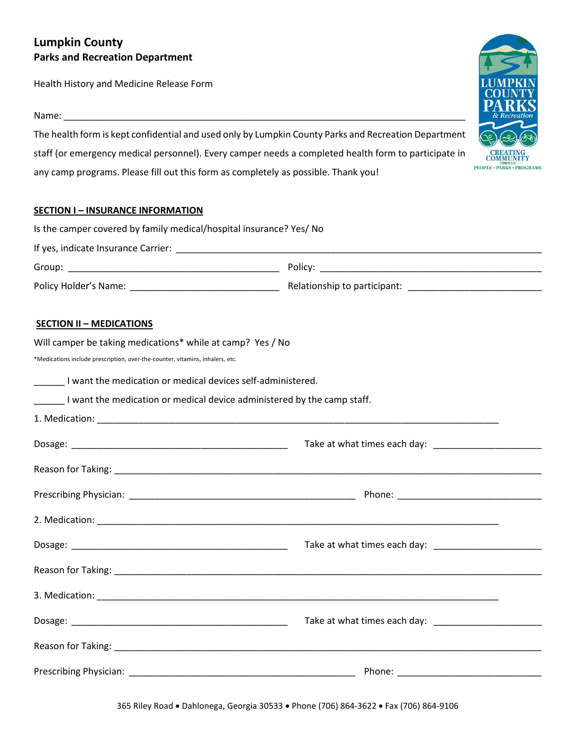# **Lumpkin County Parks and Recreation Department**

Health History and Medicine Release Form

Name: \_\_\_\_\_\_\_\_\_\_\_\_\_\_\_\_\_\_\_\_\_\_\_\_\_\_\_\_\_\_\_\_\_\_\_\_\_\_\_\_\_\_\_\_\_\_\_\_\_\_\_\_\_\_\_\_\_\_\_\_\_\_\_\_\_\_\_\_\_\_\_\_\_\_\_\_\_\_

The health form is kept confidential and used only by Lumpkin County Parks and Recreation Department staff (or emergency medical personnel). Every camper needs a completed health form to participate in any camp programs. Please fill out this form as completely as possible. Thank you!

## **SECTION I – INSURANCE INFORMATION**

| Is the camper covered by family medical/hospital insurance? Yes/ No           |  |
|-------------------------------------------------------------------------------|--|
|                                                                               |  |
|                                                                               |  |
|                                                                               |  |
| <b>SECTION II - MEDICATIONS</b>                                               |  |
| Will camper be taking medications* while at camp? Yes / No                    |  |
| *Medications include prescription, over-the-counter, vitamins, inhalers, etc. |  |
| _______ I want the medication or medical devices self-administered.           |  |
| I want the medication or medical device administered by the camp staff.       |  |
|                                                                               |  |
|                                                                               |  |
|                                                                               |  |
|                                                                               |  |
|                                                                               |  |
|                                                                               |  |
|                                                                               |  |
|                                                                               |  |
|                                                                               |  |
|                                                                               |  |
|                                                                               |  |

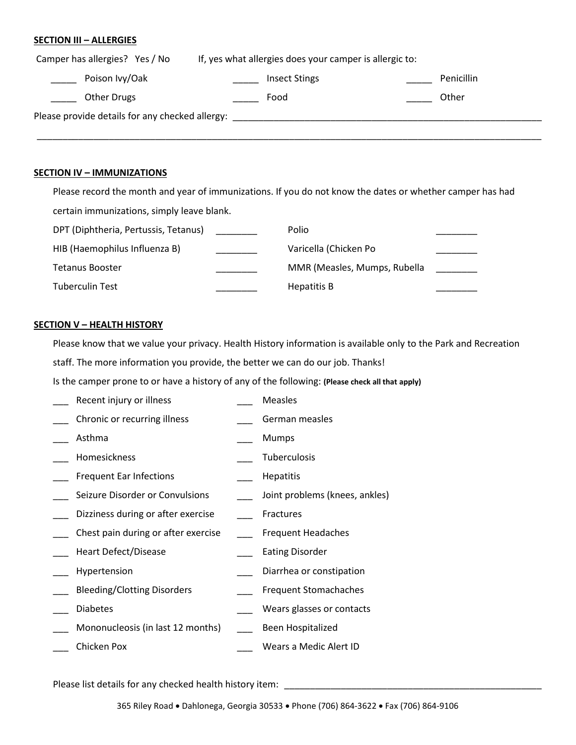#### **SECTION III – ALLERGIES**

| Camper has allergies? Yes / No                  | If, yes what allergies does your camper is allergic to: |            |  |  |
|-------------------------------------------------|---------------------------------------------------------|------------|--|--|
| Poison Ivy/Oak                                  | <b>Insect Stings</b>                                    | Penicillin |  |  |
| <b>Other Drugs</b>                              | Food                                                    | Other      |  |  |
| Please provide details for any checked allergy: |                                                         |            |  |  |
|                                                 |                                                         |            |  |  |

#### **SECTION IV – IMMUNIZATIONS**

Please record the month and year of immunizations. If you do not know the dates or whether camper has had certain immunizations, simply leave blank.

| DPT (Diphtheria, Pertussis, Tetanus) | Polio                        |  |
|--------------------------------------|------------------------------|--|
| HIB (Haemophilus Influenza B)        | Varicella (Chicken Po        |  |
| <b>Tetanus Booster</b>               | MMR (Measles, Mumps, Rubella |  |
| <b>Tuberculin Test</b>               | Hepatitis B                  |  |

#### **SECTION V – HEALTH HISTORY**

Please know that we value your privacy. Health History information is available only to the Park and Recreation staff. The more information you provide, the better we can do our job. Thanks!

Is the camper prone to or have a history of any of the following: **(Please check all that apply)**

| Recent injury or illness            | <b>Measles</b>                 |
|-------------------------------------|--------------------------------|
| Chronic or recurring illness        | German measles                 |
| Asthma                              | <b>Mumps</b>                   |
| Homesickness                        | <b>Tuberculosis</b>            |
| <b>Frequent Ear Infections</b>      | <b>Hepatitis</b>               |
| Seizure Disorder or Convulsions     | Joint problems (knees, ankles) |
| Dizziness during or after exercise  | Fractures                      |
| Chest pain during or after exercise | <b>Frequent Headaches</b>      |
| <b>Heart Defect/Disease</b>         | <b>Eating Disorder</b>         |
| Hypertension                        | Diarrhea or constipation       |
| <b>Bleeding/Clotting Disorders</b>  | <b>Frequent Stomachaches</b>   |
| <b>Diabetes</b>                     | Wears glasses or contacts      |
| Mononucleosis (in last 12 months)   | Been Hospitalized              |
| Chicken Pox                         | Wears a Medic Alert ID         |

Please list details for any checked health history item: \_\_\_\_\_\_\_\_\_\_\_\_\_\_\_\_\_\_\_\_\_\_\_